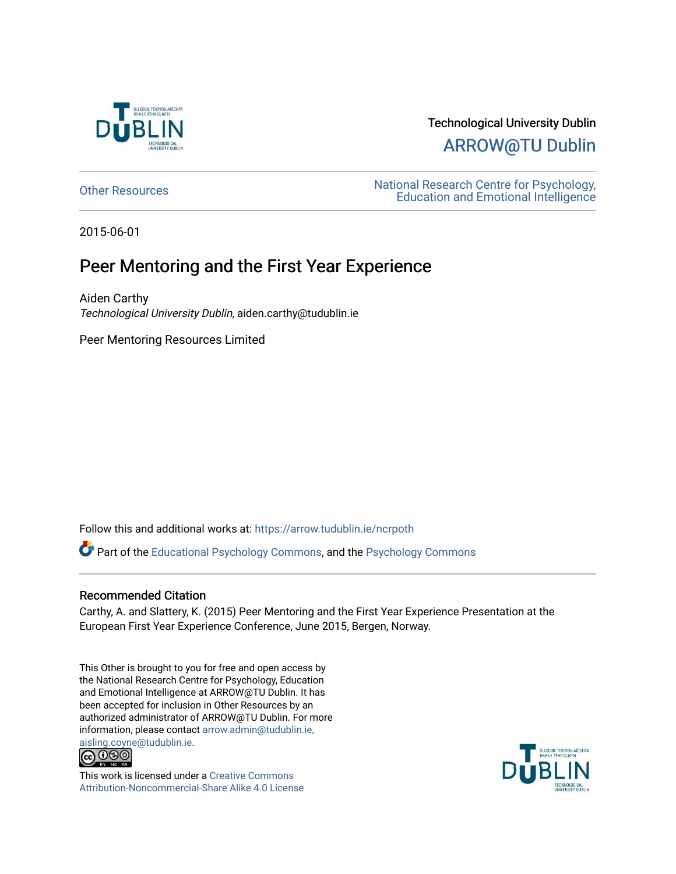

# Technological University Dublin [ARROW@TU Dublin](https://arrow.tudublin.ie/)

[Other Resources](https://arrow.tudublin.ie/ncrpoth) National Research Centre for Psychology, [Education and Emotional Intelligence](https://arrow.tudublin.ie/ncrpe) 

2015-06-01

## Peer Mentoring and the First Year Experience

Aiden Carthy Technological University Dublin, aiden.carthy@tudublin.ie

Peer Mentoring Resources Limited

Follow this and additional works at: [https://arrow.tudublin.ie/ncrpoth](https://arrow.tudublin.ie/ncrpoth?utm_source=arrow.tudublin.ie%2Fncrpoth%2F1&utm_medium=PDF&utm_campaign=PDFCoverPages)

Part of the [Educational Psychology Commons,](http://network.bepress.com/hgg/discipline/798?utm_source=arrow.tudublin.ie%2Fncrpoth%2F1&utm_medium=PDF&utm_campaign=PDFCoverPages) and the [Psychology Commons](http://network.bepress.com/hgg/discipline/404?utm_source=arrow.tudublin.ie%2Fncrpoth%2F1&utm_medium=PDF&utm_campaign=PDFCoverPages)

### Recommended Citation

Carthy, A. and Slattery, K. (2015) Peer Mentoring and the First Year Experience Presentation at the European First Year Experience Conference, June 2015, Bergen, Norway.

This Other is brought to you for free and open access by the National Research Centre for Psychology, Education and Emotional Intelligence at ARROW@TU Dublin. It has been accepted for inclusion in Other Resources by an authorized administrator of ARROW@TU Dublin. For more information, please contact [arrow.admin@tudublin.ie,](mailto:arrow.admin@tudublin.ie,%20aisling.coyne@tudublin.ie) 



This work is licensed under a [Creative Commons](http://creativecommons.org/licenses/by-nc-sa/4.0/) [Attribution-Noncommercial-Share Alike 4.0 License](http://creativecommons.org/licenses/by-nc-sa/4.0/)